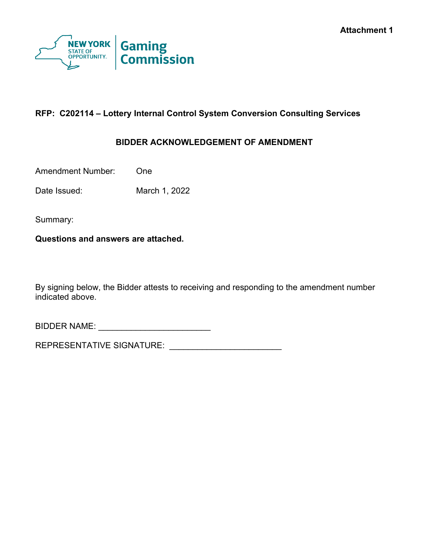

# **RFP: C202114 – Lottery Internal Control System Conversion Consulting Services**

## **BIDDER ACKNOWLEDGEMENT OF AMENDMENT**

Amendment Number: One

Date Issued: March 1, 2022

Summary:

**Questions and answers are attached.**

By signing below, the Bidder attests to receiving and responding to the amendment number indicated above.

BIDDER NAME: \_\_\_\_\_\_\_\_\_\_\_\_\_\_\_\_\_\_\_\_\_\_\_\_

REPRESENTATIVE SIGNATURE: \_\_\_\_\_\_\_\_\_\_\_\_\_\_\_\_\_\_\_\_\_\_\_\_